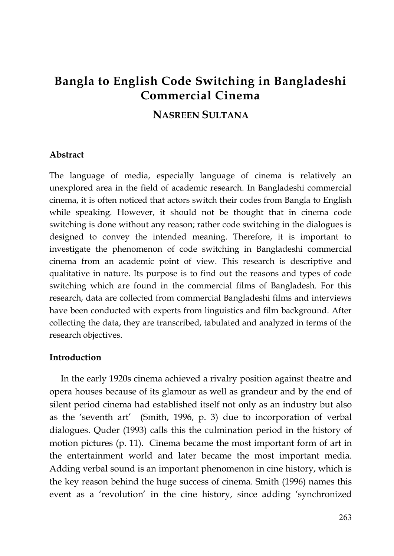# **Bangla to English Code Switching in Bangladeshi Commercial Cinema**

# **NASREEN SULTANA**

### **Abstract**

The language of media, especially language of cinema is relatively an unexplored area in the field of academic research. In Bangladeshi commercial cinema, it is often noticed that actors switch their codes from Bangla to English while speaking. However, it should not be thought that in cinema code switching is done without any reason; rather code switching in the dialogues is designed to convey the intended meaning. Therefore, it is important to investigate the phenomenon of code switching in Bangladeshi commercial cinema from an academic point of view. This research is descriptive and qualitative in nature. Its purpose is to find out the reasons and types of code switching which are found in the commercial films of Bangladesh. For this research, data are collected from commercial Bangladeshi films and interviews have been conducted with experts from linguistics and film background. After collecting the data, they are transcribed, tabulated and analyzed in terms of the research objectives.

## **Introduction**

In the early 1920s cinema achieved a rivalry position against theatre and opera houses because of its glamour as well as grandeur and by the end of silent period cinema had established itself not only as an industry but also as the 'seventh art' (Smith, 1996, p. 3) due to incorporation of verbal dialogues. Quder (1993) calls this the culmination period in the history of motion pictures (p. 11). Cinema became the most important form of art in the entertainment world and later became the most important media. Adding verbal sound is an important phenomenon in cine history, which is the key reason behind the huge success of cinema. Smith (1996) names this event as a 'revolution' in the cine history, since adding 'synchronized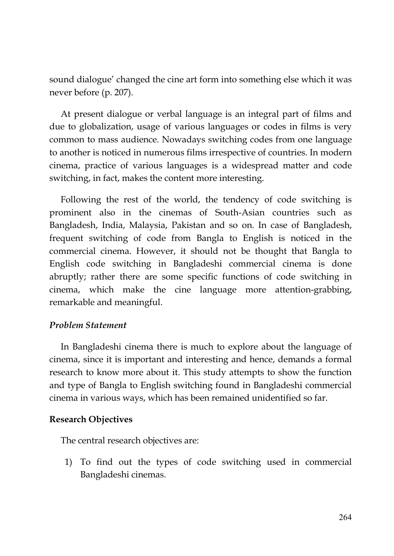sound dialogue' changed the cine art form into something else which it was never before (p. 207).

At present dialogue or verbal language is an integral part of films and due to globalization, usage of various languages or codes in films is very common to mass audience. Nowadays switching codes from one language to another is noticed in numerous films irrespective of countries. In modern cinema, practice of various languages is a widespread matter and code switching, in fact, makes the content more interesting.

Following the rest of the world, the tendency of code switching is prominent also in the cinemas of South-Asian countries such as Bangladesh, India, Malaysia, Pakistan and so on. In case of Bangladesh, frequent switching of code from Bangla to English is noticed in the commercial cinema. However, it should not be thought that Bangla to English code switching in Bangladeshi commercial cinema is done abruptly; rather there are some specific functions of code switching in cinema, which make the cine language more attention-grabbing, remarkable and meaningful.

# *Problem Statement*

In Bangladeshi cinema there is much to explore about the language of cinema, since it is important and interesting and hence, demands a formal research to know more about it. This study attempts to show the function and type of Bangla to English switching found in Bangladeshi commercial cinema in various ways, which has been remained unidentified so far.

### **Research Objectives**

The central research objectives are:

1) To find out the types of code switching used in commercial Bangladeshi cinemas.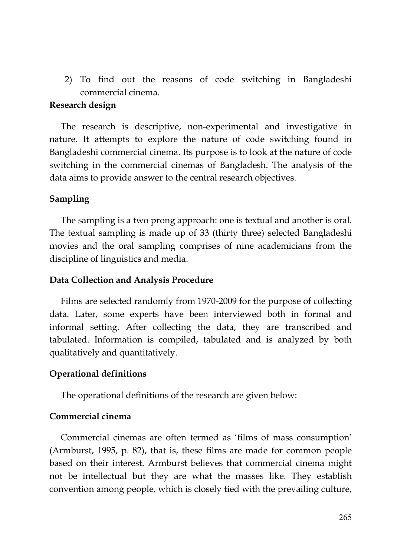2) To find out the reasons of code switching in Bangladeshi commercial cinema.

### **Research design**

The research is descriptive, non-experimental and investigative in nature. It attempts to explore the nature of code switching found in Bangladeshi commercial cinema. Its purpose is to look at the nature of code switching in the commercial cinemas of Bangladesh. The analysis of the data aims to provide answer to the central research objectives.

### **Sampling**

The sampling is a two prong approach: one is textual and another is oral. The textual sampling is made up of 33 (thirty three) selected Bangladeshi movies and the oral sampling comprises of nine academicians from the discipline of linguistics and media.

#### **Data Collection and Analysis Procedure**

Films are selected randomly from 1970-2009 for the purpose of collecting data. Later, some experts have been interviewed both in formal and informal setting. After collecting the data, they are transcribed and tabulated. Information is compiled, tabulated and is analyzed by both qualitatively and quantitatively.

### **Operational definitions**

The operational definitions of the research are given below:

### **Commercial cinema**

Commercial cinemas are often termed as 'films of mass consumption' (Armburst, 1995, p. 82), that is, these films are made for common people based on their interest. Armburst believes that commercial cinema might not be intellectual but they are what the masses like. They establish convention among people, which is closely tied with the prevailing culture,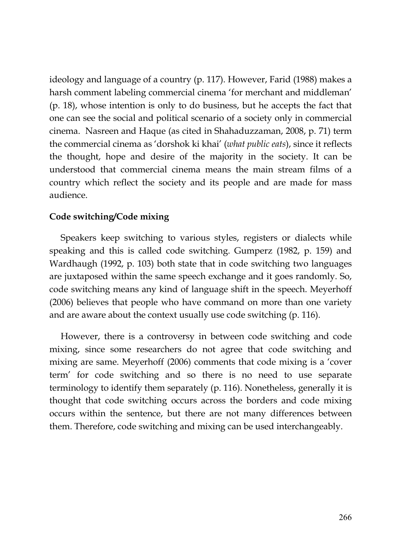ideology and language of a country (p. 117). However, Farid (1988) makes a harsh comment labeling commercial cinema 'for merchant and middleman' (p. 18), whose intention is only to do business, but he accepts the fact that one can see the social and political scenario of a society only in commercial cinema. Nasreen and Haque (as cited in Shahaduzzaman, 2008, p. 71) term the commercial cinema as 'dorshok ki khai' (*what public eats*), since it reflects the thought, hope and desire of the majority in the society. It can be understood that commercial cinema means the main stream films of a country which reflect the society and its people and are made for mass audience.

# **Code switching/Code mixing**

Speakers keep switching to various styles, registers or dialects while speaking and this is called code switching. Gumperz (1982, p. 159) and Wardhaugh (1992, p. 103) both state that in code switching two languages are juxtaposed within the same speech exchange and it goes randomly. So, code switching means any kind of language shift in the speech. Meyerhoff (2006) believes that people who have command on more than one variety and are aware about the context usually use code switching (p. 116).

However, there is a controversy in between code switching and code mixing, since some researchers do not agree that code switching and mixing are same. Meyerhoff (2006) comments that code mixing is a 'cover term' for code switching and so there is no need to use separate terminology to identify them separately (p. 116). Nonetheless, generally it is thought that code switching occurs across the borders and code mixing occurs within the sentence, but there are not many differences between them. Therefore, code switching and mixing can be used interchangeably.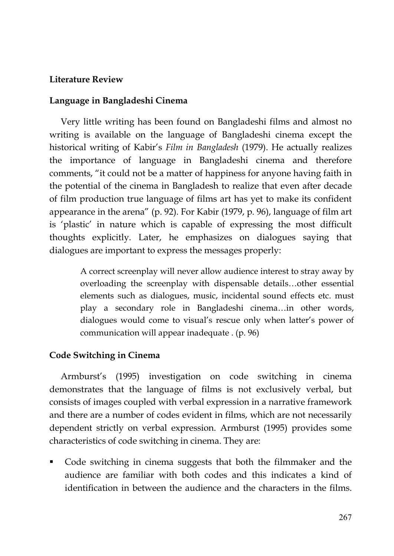# **Literature Review**

### **Language in Bangladeshi Cinema**

Very little writing has been found on Bangladeshi films and almost no writing is available on the language of Bangladeshi cinema except the historical writing of Kabir's *Film in Bangladesh* (1979). He actually realizes the importance of language in Bangladeshi cinema and therefore comments, "it could not be a matter of happiness for anyone having faith in the potential of the cinema in Bangladesh to realize that even after decade of film production true language of films art has yet to make its confident appearance in the arena" (p. 92). For Kabir (1979, p. 96), language of film art is 'plastic' in nature which is capable of expressing the most difficult thoughts explicitly. Later, he emphasizes on dialogues saying that dialogues are important to express the messages properly:

> A correct screenplay will never allow audience interest to stray away by overloading the screenplay with dispensable details…other essential elements such as dialogues, music, incidental sound effects etc. must play a secondary role in Bangladeshi cinema…in other words, dialogues would come to visual's rescue only when latter's power of communication will appear inadequate . (p. 96)

# **Code Switching in Cinema**

Armburst's (1995) investigation on code switching in cinema demonstrates that the language of films is not exclusively verbal, but consists of images coupled with verbal expression in a narrative framework and there are a number of codes evident in films, which are not necessarily dependent strictly on verbal expression. Armburst (1995) provides some characteristics of code switching in cinema. They are:

 Code switching in cinema suggests that both the filmmaker and the audience are familiar with both codes and this indicates a kind of identification in between the audience and the characters in the films.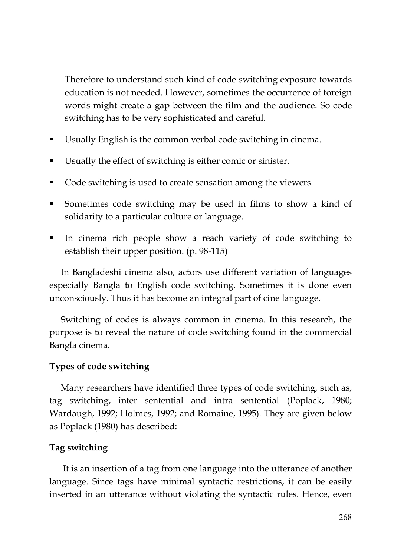Therefore to understand such kind of code switching exposure towards education is not needed. However, sometimes the occurrence of foreign words might create a gap between the film and the audience. So code switching has to be very sophisticated and careful.

- Usually English is the common verbal code switching in cinema.
- Usually the effect of switching is either comic or sinister.
- Code switching is used to create sensation among the viewers.
- Sometimes code switching may be used in films to show a kind of solidarity to a particular culture or language.
- In cinema rich people show a reach variety of code switching to establish their upper position. (p. 98-115)

In Bangladeshi cinema also, actors use different variation of languages especially Bangla to English code switching. Sometimes it is done even unconsciously. Thus it has become an integral part of cine language.

Switching of codes is always common in cinema. In this research, the purpose is to reveal the nature of code switching found in the commercial Bangla cinema.

# **Types of code switching**

Many researchers have identified three types of code switching, such as, tag switching, inter sentential and intra sentential (Poplack, 1980; Wardaugh, 1992; Holmes, 1992; and Romaine, 1995). They are given below as Poplack (1980) has described:

# **Tag switching**

It is an insertion of a tag from one language into the utterance of another language. Since tags have minimal syntactic restrictions, it can be easily inserted in an utterance without violating the syntactic rules. Hence, even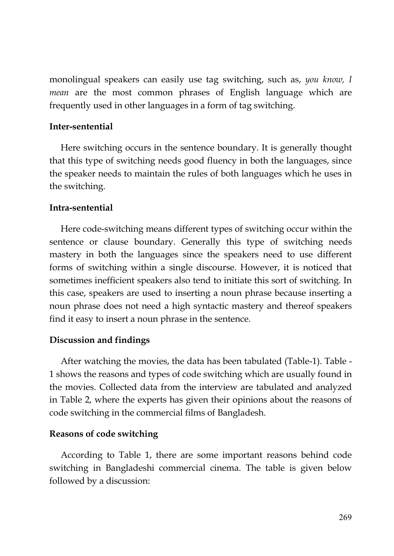monolingual speakers can easily use tag switching, such as, *you know, I mean* are the most common phrases of English language which are frequently used in other languages in a form of tag switching.

# **Inter-sentential**

Here switching occurs in the sentence boundary. It is generally thought that this type of switching needs good fluency in both the languages, since the speaker needs to maintain the rules of both languages which he uses in the switching.

# **Intra-sentential**

Here code-switching means different types of switching occur within the sentence or clause boundary. Generally this type of switching needs mastery in both the languages since the speakers need to use different forms of switching within a single discourse. However, it is noticed that sometimes inefficient speakers also tend to initiate this sort of switching. In this case, speakers are used to inserting a noun phrase because inserting a noun phrase does not need a high syntactic mastery and thereof speakers find it easy to insert a noun phrase in the sentence.

# **Discussion and findings**

After watching the movies, the data has been tabulated (Table-1). Table - 1 shows the reasons and types of code switching which are usually found in the movies. Collected data from the interview are tabulated and analyzed in Table 2, where the experts has given their opinions about the reasons of code switching in the commercial films of Bangladesh.

# **Reasons of code switching**

According to Table 1, there are some important reasons behind code switching in Bangladeshi commercial cinema. The table is given below followed by a discussion: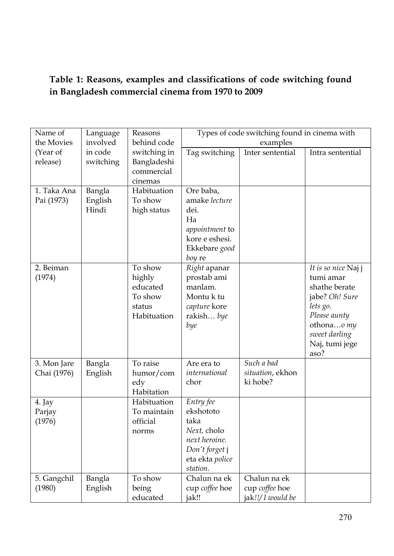# **Table 1: Reasons, examples and classifications of code switching found in Bangladesh commercial cinema from 1970 to 2009**

| Name of               | Language          | Reasons                   |                          | Types of code switching found in cinema with |                                 |
|-----------------------|-------------------|---------------------------|--------------------------|----------------------------------------------|---------------------------------|
| the Movies            | involved          | behind code               | examples                 |                                              |                                 |
| (Year of<br>release)  | in code           | switching in              | Tag switching            | Inter sentential                             | Intra sentential                |
|                       | switching         | Bangladeshi<br>commercial |                          |                                              |                                 |
|                       |                   | cinemas                   |                          |                                              |                                 |
| 1. Taka Ana           | Bangla            | Habituation               | Ore baba,                |                                              |                                 |
| Pai (1973)            | English           | To show                   | amake lecture            |                                              |                                 |
|                       | Hindi             | high status               | dei.<br>Ha               |                                              |                                 |
|                       |                   |                           | <i>appointment</i> to    |                                              |                                 |
|                       |                   |                           | kore e eshesi.           |                                              |                                 |
|                       |                   |                           | Ekkebare good            |                                              |                                 |
|                       |                   |                           | boy re                   |                                              |                                 |
| 2. Beiman             |                   | To show                   | Right apanar             |                                              | It is so nice Najj              |
| (1974)                |                   | highly                    | prostab ami              |                                              | tumi amar                       |
|                       |                   | educated<br>To show       | manlam.<br>Montu k tu    |                                              | shathe berate<br>jabe? Oh! Sure |
|                       |                   | status                    | capture kore             |                                              | lets go.                        |
|                       |                   | Habituation               | rakish bye               |                                              | Please aunty                    |
|                       |                   |                           | bye                      |                                              | othonao my                      |
|                       |                   |                           |                          |                                              | sweet darling                   |
|                       |                   |                           |                          |                                              | Naj, tumi jege                  |
|                       |                   |                           |                          |                                              | aso?                            |
| 3. Mon Jare           | Bangla            | To raise                  | Are era to               | Such a bad                                   |                                 |
| Chai (1976)           | English           | humor/com                 | international<br>chor    | situation, ekhon<br>ki hobe?                 |                                 |
|                       |                   | edy<br>Habitation         |                          |                                              |                                 |
| 4. Jay                |                   | Habituation               | Entry fee                |                                              |                                 |
| Parjay                |                   | To maintain               | ekshototo                |                                              |                                 |
| (1976)                |                   | official                  | taka                     |                                              |                                 |
|                       |                   | norms                     | Next, cholo              |                                              |                                 |
|                       |                   |                           | next heroine.            |                                              |                                 |
|                       |                   |                           | Don't forget j           |                                              |                                 |
|                       |                   |                           | eta ekta police          |                                              |                                 |
|                       |                   | To show                   | station.<br>Chalun na ek | Chalun na ek                                 |                                 |
| 5. Gangchil<br>(1980) | Bangla<br>English | being                     | cup coffee hoe           | cup coffee hoe                               |                                 |
|                       |                   | educated                  | jak!!                    | jak!!/ I would be                            |                                 |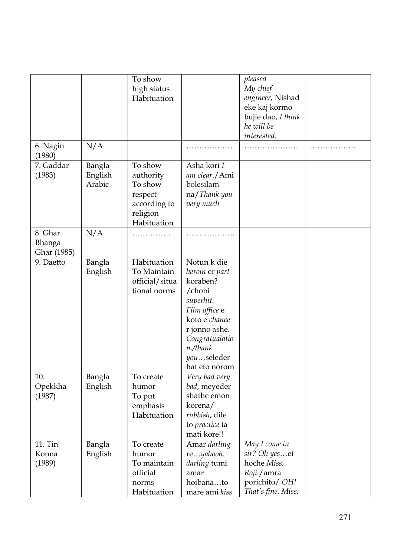|                                  |                             | To show<br>high status<br>Habituation                                                 |                                                                                                                                                                                  | pleased<br>My chief<br>engineer, Nishad<br>eke kaj kormo<br>bujie dao, I think<br>he will be<br>interested. |  |
|----------------------------------|-----------------------------|---------------------------------------------------------------------------------------|----------------------------------------------------------------------------------------------------------------------------------------------------------------------------------|-------------------------------------------------------------------------------------------------------------|--|
| 6. Nagin<br>(1980)               | N/A                         |                                                                                       |                                                                                                                                                                                  |                                                                                                             |  |
| 7. Gaddar<br>(1983)              | Bangla<br>English<br>Arabic | To show<br>authority<br>To show<br>respect<br>according to<br>religion<br>Habituation | Asha kori I<br>am clear./Ami<br>bolesilam<br>na/Thank you<br>very much                                                                                                           |                                                                                                             |  |
| 8. Ghar<br>Bhanga<br>Ghar (1985) | N/A                         |                                                                                       |                                                                                                                                                                                  |                                                                                                             |  |
| 9. Daetto                        | Bangla<br>English           | Habituation<br>To Maintain<br>official/situa<br>tional norms                          | Notun k die<br>heroin er part<br>koraben?<br>/chobi<br>superhit.<br>Film office e<br>koto e chance<br>r jonno ashe.<br>Congratualatio<br>n./thank<br>youseleder<br>hat eto norom |                                                                                                             |  |
| 10.<br>Opekkha<br>(1987)         | Bangla<br>English           | To create<br>humor<br>To put<br>emphasis<br>Habituation                               | Very bad very<br>bad, meyeder<br>shathe emon<br>korena/<br>rubbish, dile<br>to practice ta<br>mati kore!!                                                                        |                                                                                                             |  |
| 11. Tin<br>Konna<br>(1989)       | Bangla<br>English           | To create<br>humor<br>To maintain<br>official<br>norms<br>Habituation                 | Amar darling<br>reyahooh.<br>darling tumi<br>amar<br>hoibanato<br>mare ami kiss                                                                                                  | May I come in<br>sir? Oh yesei<br>hoche Miss.<br>Roji./amra<br>porichito/ OH!<br>That's fine. Miss.         |  |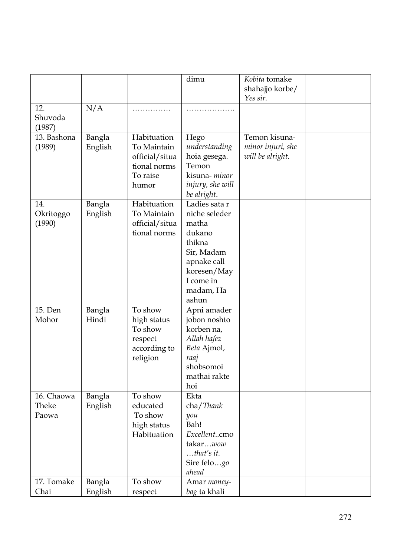|                              |                   |                                                                                   | dimu                                                                                                                                       | Kobita tomake<br>shahajjo korbe/<br>Yes sir.           |  |
|------------------------------|-------------------|-----------------------------------------------------------------------------------|--------------------------------------------------------------------------------------------------------------------------------------------|--------------------------------------------------------|--|
| 12.<br>Shuvoda<br>(1987)     | N/A               | .                                                                                 | .                                                                                                                                          |                                                        |  |
| 13. Bashona<br>(1989)        | Bangla<br>English | Habituation<br>To Maintain<br>official/situa<br>tional norms<br>To raise<br>humor | Hego<br>understanding<br>hoia gesega.<br>Temon<br>kisuna-minor<br>injury, she will<br>be alright.                                          | Temon kisuna-<br>minor injuri, she<br>will be alright. |  |
| 14.<br>Okritoggo<br>(1990)   | Bangla<br>English | Habituation<br>To Maintain<br>official/situa<br>tional norms                      | Ladies sata r<br>niche seleder<br>matha<br>dukano<br>thikna<br>Sir, Madam<br>apnake call<br>koresen/May<br>I come in<br>madam, Ha<br>ashun |                                                        |  |
| 15. Den<br>Mohor             | Bangla<br>Hindi   | To show<br>high status<br>To show<br>respect<br>according to<br>religion          | Apni amader<br>jobon noshto<br>korben na,<br>Allah hafez<br>Beta Ajmol,<br>raaj<br>shobsomoi<br>mathai rakte<br>hoi                        |                                                        |  |
| 16. Chaowa<br>Theke<br>Paowa | Bangla<br>English | To show<br>educated<br>To show<br>high status<br>Habituation                      | Ekta<br>cha/Thank<br>$\mathcal Y\mathcal O\mathcal U$<br>Bah!<br>Excellentcmo<br>takarwow<br>$$ that's it.<br>Sire felogo<br>ahead         |                                                        |  |
| 17. Tomake<br>Chai           | Bangla<br>English | To show<br>respect                                                                | Amar money-<br>bag ta khali                                                                                                                |                                                        |  |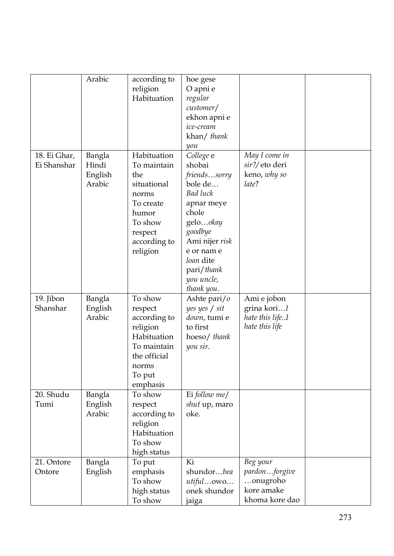|                             | Arabic                               | according to<br>religion<br>Habituation                                                                                           | hoe gese<br>O apni e<br>regular<br>customer/<br>ekhon apni e<br>ice-cream<br>khan/ thank<br>you                                                                                                        |                                                                       |  |
|-----------------------------|--------------------------------------|-----------------------------------------------------------------------------------------------------------------------------------|--------------------------------------------------------------------------------------------------------------------------------------------------------------------------------------------------------|-----------------------------------------------------------------------|--|
| 18. Ei Ghar,<br>Ei Shanshar | Bangla<br>Hindi<br>English<br>Arabic | Habituation<br>To maintain<br>the<br>situational<br>norms<br>To create<br>humor<br>To show<br>respect<br>according to<br>religion | College e<br>shobai<br>friendssorry<br>bole de<br><b>Bad luck</b><br>apnar meye<br>chole<br>gelookay<br>goodbye<br>Ami nijer risk<br>e or nam e<br>loan dite<br>pari/thank<br>you uncle,<br>thank you. | May I come in<br>sir?/eto deri<br>keno, why so<br>late?               |  |
| 19. Jibon<br>Shanshar       | Bangla<br>English<br>Arabic          | To show<br>respect<br>according to<br>religion<br>Habituation<br>To maintain<br>the official<br>norms<br>To put<br>emphasis       | Ashte pari/o<br>yes yes / sit<br>down, tumi e<br>to first<br>hoeso/ thank<br>you sir.                                                                                                                  | Ami e jobon<br>grina koriI<br>hate this lifeI<br>hate this life       |  |
| 20. Shudu<br>Tumi           | Bangla<br>English<br>Arabic          | To show<br>respect<br>according to<br>religion<br>Habituation<br>To show<br>high status                                           | Ei follow me/<br>shut up, maro<br>oke.                                                                                                                                                                 |                                                                       |  |
| 21. Ontore<br>Ontore        | Bangla<br>English                    | To put<br>emphasis<br>To show<br>high status<br>To show                                                                           | Ki<br>shundorbea<br>utifulowo<br>onek shundor<br>jaiga                                                                                                                                                 | Beg your<br>pardonforgive<br>onugroho<br>kore amake<br>khoma kore dao |  |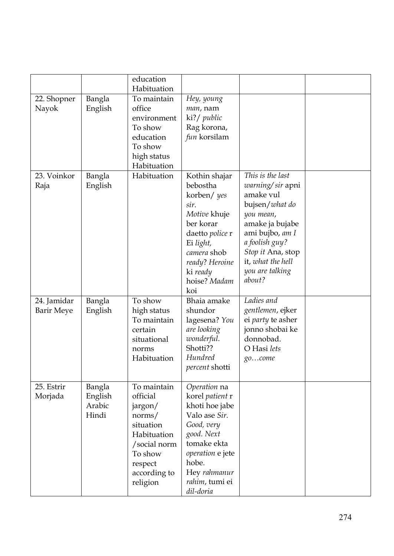|                                  |                                      | education<br>Habituation                                                                                                                   |                                                                                                                                                                                           |                                                                                                                                                                                                                 |  |
|----------------------------------|--------------------------------------|--------------------------------------------------------------------------------------------------------------------------------------------|-------------------------------------------------------------------------------------------------------------------------------------------------------------------------------------------|-----------------------------------------------------------------------------------------------------------------------------------------------------------------------------------------------------------------|--|
| 22. Shopner<br>Nayok             | Bangla<br>English                    | To maintain<br>office<br>environment<br>To show<br>education<br>To show<br>high status<br>Habituation                                      | Hey, young<br>man, nam<br>ki?/ public<br>Rag korona,<br>fun korsilam                                                                                                                      |                                                                                                                                                                                                                 |  |
| 23. Voinkor<br>Raja              | Bangla<br>English                    | Habituation                                                                                                                                | Kothin shajar<br>bebostha<br>korben/ yes<br>sir.<br>Motive khuje<br>ber korar<br>daetto police r<br>Ei light,<br>camera shob<br>ready? Heroine<br>ki ready<br>hoise? Madam<br>koi         | This is the last<br>warning/sir apni<br>amake vul<br>bujsen/what do<br>you mean,<br>amake ja bujabe<br>ami bujbo, am I<br>a foolish guy?<br>Stop it Ana, stop<br>it, what the hell<br>you are talking<br>about? |  |
| 24. Jamidar<br><b>Barir Meye</b> | Bangla<br>English                    | To show<br>high status<br>To maintain<br>certain<br>situational<br>norms<br>Habituation                                                    | Bhaia amake<br>shundor<br>lagesena? You<br>are looking<br>wonderful.<br>Shotti??<br>Hundred<br>percent shotti                                                                             | Ladies and<br>gentlemen, ejker<br>ei party te asher<br>jonno shobai ke<br>donnobad.<br>O Hasi lets<br>gocome                                                                                                    |  |
| 25. Estrir<br>Morjada            | Bangla<br>English<br>Arabic<br>Hindi | To maintain<br>official<br>jargon/<br>norms/<br>situation<br>Habituation<br>/social norm<br>To show<br>respect<br>according to<br>religion | Operation na<br>korel patient r<br>khoti hoe jabe<br>Valo ase Sir.<br>Good, very<br>good. Next<br>tomake ekta<br>operation e jete<br>hobe.<br>Hey rahmanur<br>rahim, tumi ei<br>dil-doria |                                                                                                                                                                                                                 |  |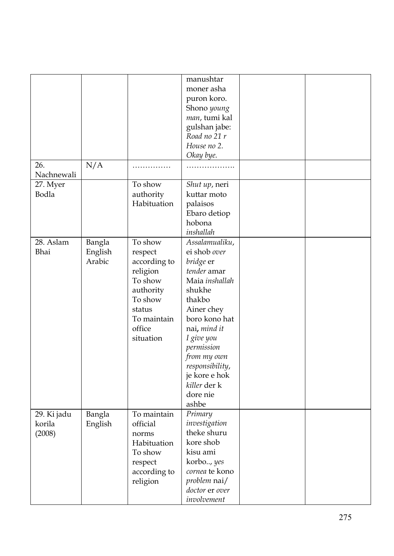|             |         |                         | manushtar                |  |
|-------------|---------|-------------------------|--------------------------|--|
|             |         |                         | moner asha               |  |
|             |         |                         | puron koro.              |  |
|             |         |                         | Shono young              |  |
|             |         |                         | man, tumi kal            |  |
|             |         |                         | gulshan jabe:            |  |
|             |         |                         | Road no 21 r             |  |
|             |         |                         | House no 2.              |  |
|             |         |                         | Okay bye.                |  |
| 26.         | N/A     | .                       |                          |  |
| Nachnewali  |         |                         |                          |  |
| 27. Myer    |         | To show                 | Shut up, neri            |  |
| Bodla       |         | authority               | kuttar moto              |  |
|             |         | Habituation             | palaisos                 |  |
|             |         |                         | Ebaro detiop             |  |
|             |         |                         | hobona                   |  |
|             |         |                         | inshallah                |  |
| 28. Aslam   | Bangla  | To show                 | Assalamualiku,           |  |
| Bhai        | English | respect                 | ei shob over             |  |
|             | Arabic  | according to            | bridge er                |  |
|             |         | religion                | tender amar              |  |
|             |         | To show                 | Maia inshallah           |  |
|             |         | authority               | shukhe                   |  |
|             |         | To show                 | thakbo                   |  |
|             |         | status                  | Ainer chey               |  |
|             |         | To maintain             | boro kono hat            |  |
|             |         | office                  | nai, mind it             |  |
|             |         | situation               | I give you               |  |
|             |         |                         | permission               |  |
|             |         |                         | from my own              |  |
|             |         |                         | responsibility,          |  |
|             |         |                         | je kore e hok            |  |
|             |         |                         | killer der k<br>dore nie |  |
|             |         |                         | ashbe                    |  |
| 29. Ki jadu | Bangla  | To maintain             |                          |  |
|             |         | official                | Primary<br>investigation |  |
| korila      | English | norms                   | theke shuru              |  |
| (2008)      |         | Habituation             | kore shob                |  |
|             |         | To show                 | kisu ami                 |  |
|             |         |                         | korbo, yes               |  |
|             |         | respect<br>according to | cornea te kono           |  |
|             |         | religion                | problem nai/             |  |
|             |         |                         | doctor er over           |  |
|             |         |                         | involvement              |  |
|             |         |                         |                          |  |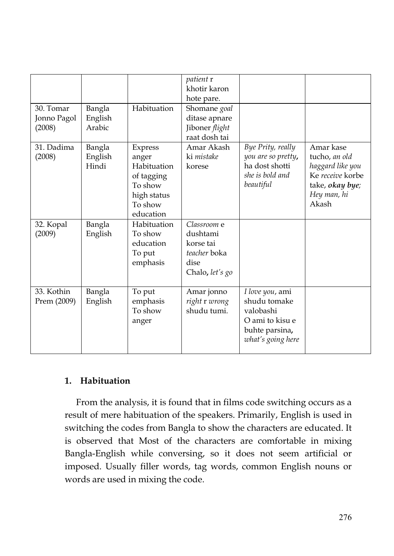| 30. Tomar<br>Jonno Pagol<br>(2008) | Bangla<br>English<br>Arabic | Habituation                                                                                     | patient r<br>khotir karon<br>hote pare.<br>Shomane goal<br>ditase apnare<br>Jiboner flight<br>raat dosh tai |                                                                                                        |                                                                                                               |
|------------------------------------|-----------------------------|-------------------------------------------------------------------------------------------------|-------------------------------------------------------------------------------------------------------------|--------------------------------------------------------------------------------------------------------|---------------------------------------------------------------------------------------------------------------|
| 31. Dadima<br>(2008)               | Bangla<br>English<br>Hindi  | Express<br>anger<br>Habituation<br>of tagging<br>To show<br>high status<br>To show<br>education | Amar Akash<br>ki mistake<br>korese                                                                          | Bye Prity, really<br>you are so pretty,<br>ha dost shotti<br>she is bold and<br>beautiful              | Amar kase<br>tucho, an old<br>haggard like you<br>Ke receive korbe<br>take, okay bye;<br>Hey man, hi<br>Akash |
| 32. Kopal<br>(2009)                | Bangla<br>English           | Habituation<br>To show<br>education<br>To put<br>emphasis                                       | Classroom e<br>dushtami<br>korse tai<br>teacher boka<br>dise<br>Chalo, let's go                             |                                                                                                        |                                                                                                               |
| 33. Kothin<br>Prem (2009)          | Bangla<br>English           | To put<br>emphasis<br>To show<br>anger                                                          | Amar jonno<br>right r wrong<br>shudu tumi.                                                                  | I love you, ami<br>shudu tomake<br>valobashi<br>O ami to kisu e<br>buhte parsina,<br>what's going here |                                                                                                               |

# **1. Habituation**

From the analysis, it is found that in films code switching occurs as a result of mere habituation of the speakers. Primarily, English is used in switching the codes from Bangla to show the characters are educated. It is observed that Most of the characters are comfortable in mixing Bangla-English while conversing, so it does not seem artificial or imposed. Usually filler words, tag words, common English nouns or words are used in mixing the code.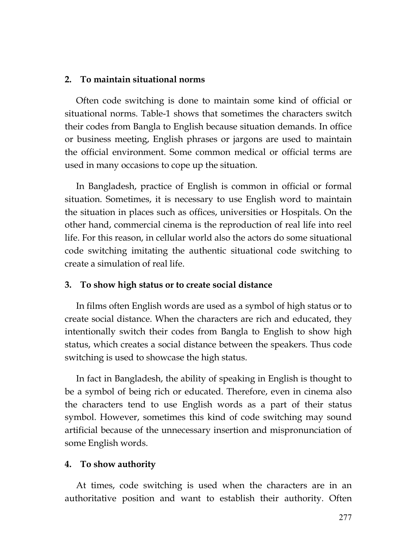## **2. To maintain situational norms**

Often code switching is done to maintain some kind of official or situational norms. Table-1 shows that sometimes the characters switch their codes from Bangla to English because situation demands. In office or business meeting, English phrases or jargons are used to maintain the official environment. Some common medical or official terms are used in many occasions to cope up the situation.

In Bangladesh, practice of English is common in official or formal situation. Sometimes, it is necessary to use English word to maintain the situation in places such as offices, universities or Hospitals. On the other hand, commercial cinema is the reproduction of real life into reel life. For this reason, in cellular world also the actors do some situational code switching imitating the authentic situational code switching to create a simulation of real life.

### **3. To show high status or to create social distance**

In films often English words are used as a symbol of high status or to create social distance. When the characters are rich and educated, they intentionally switch their codes from Bangla to English to show high status, which creates a social distance between the speakers. Thus code switching is used to showcase the high status.

In fact in Bangladesh, the ability of speaking in English is thought to be a symbol of being rich or educated. Therefore, even in cinema also the characters tend to use English words as a part of their status symbol. However, sometimes this kind of code switching may sound artificial because of the unnecessary insertion and mispronunciation of some English words.

### **4. To show authority**

At times, code switching is used when the characters are in an authoritative position and want to establish their authority. Often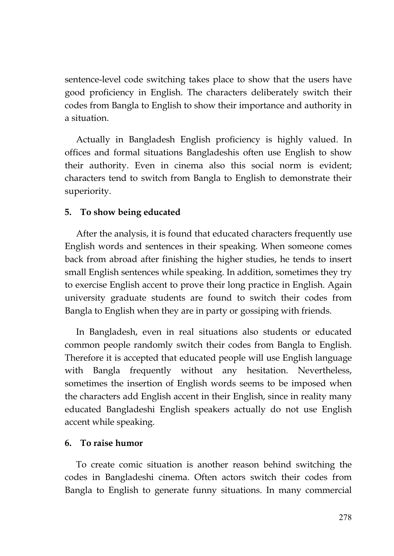sentence-level code switching takes place to show that the users have good proficiency in English. The characters deliberately switch their codes from Bangla to English to show their importance and authority in a situation.

Actually in Bangladesh English proficiency is highly valued. In offices and formal situations Bangladeshis often use English to show their authority. Even in cinema also this social norm is evident; characters tend to switch from Bangla to English to demonstrate their superiority.

## **5. To show being educated**

After the analysis, it is found that educated characters frequently use English words and sentences in their speaking. When someone comes back from abroad after finishing the higher studies, he tends to insert small English sentences while speaking. In addition, sometimes they try to exercise English accent to prove their long practice in English. Again university graduate students are found to switch their codes from Bangla to English when they are in party or gossiping with friends.

In Bangladesh, even in real situations also students or educated common people randomly switch their codes from Bangla to English. Therefore it is accepted that educated people will use English language with Bangla frequently without any hesitation. Nevertheless, sometimes the insertion of English words seems to be imposed when the characters add English accent in their English, since in reality many educated Bangladeshi English speakers actually do not use English accent while speaking.

## **6. To raise humor**

To create comic situation is another reason behind switching the codes in Bangladeshi cinema. Often actors switch their codes from Bangla to English to generate funny situations. In many commercial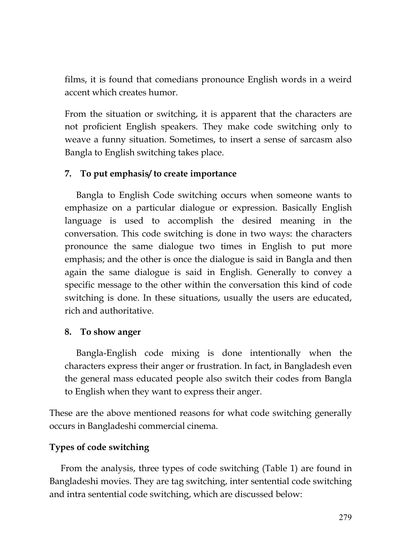films, it is found that comedians pronounce English words in a weird accent which creates humor.

From the situation or switching, it is apparent that the characters are not proficient English speakers. They make code switching only to weave a funny situation. Sometimes, to insert a sense of sarcasm also Bangla to English switching takes place.

# **7. To put emphasis/ to create importance**

Bangla to English Code switching occurs when someone wants to emphasize on a particular dialogue or expression. Basically English language is used to accomplish the desired meaning in the conversation. This code switching is done in two ways: the characters pronounce the same dialogue two times in English to put more emphasis; and the other is once the dialogue is said in Bangla and then again the same dialogue is said in English. Generally to convey a specific message to the other within the conversation this kind of code switching is done. In these situations, usually the users are educated, rich and authoritative.

# **8. To show anger**

Bangla-English code mixing is done intentionally when the characters express their anger or frustration. In fact, in Bangladesh even the general mass educated people also switch their codes from Bangla to English when they want to express their anger.

These are the above mentioned reasons for what code switching generally occurs in Bangladeshi commercial cinema.

# **Types of code switching**

From the analysis, three types of code switching (Table 1) are found in Bangladeshi movies. They are tag switching, inter sentential code switching and intra sentential code switching, which are discussed below: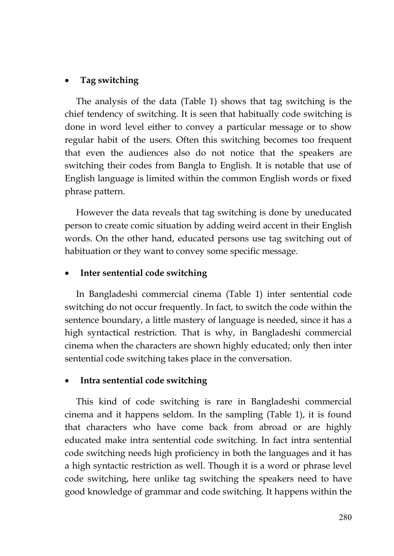# **Tag switching**

The analysis of the data (Table 1) shows that tag switching is the chief tendency of switching. It is seen that habitually code switching is done in word level either to convey a particular message or to show regular habit of the users. Often this switching becomes too frequent that even the audiences also do not notice that the speakers are switching their codes from Bangla to English. It is notable that use of English language is limited within the common English words or fixed phrase pattern.

However the data reveals that tag switching is done by uneducated person to create comic situation by adding weird accent in their English words. On the other hand, educated persons use tag switching out of habituation or they want to convey some specific message.

# **Inter sentential code switching**

In Bangladeshi commercial cinema (Table 1) inter sentential code switching do not occur frequently. In fact, to switch the code within the sentence boundary, a little mastery of language is needed, since it has a high syntactical restriction. That is why, in Bangladeshi commercial cinema when the characters are shown highly educated; only then inter sentential code switching takes place in the conversation.

# **Intra sentential code switching**

This kind of code switching is rare in Bangladeshi commercial cinema and it happens seldom. In the sampling (Table 1), it is found that characters who have come back from abroad or are highly educated make intra sentential code switching. In fact intra sentential code switching needs high proficiency in both the languages and it has a high syntactic restriction as well. Though it is a word or phrase level code switching, here unlike tag switching the speakers need to have good knowledge of grammar and code switching. It happens within the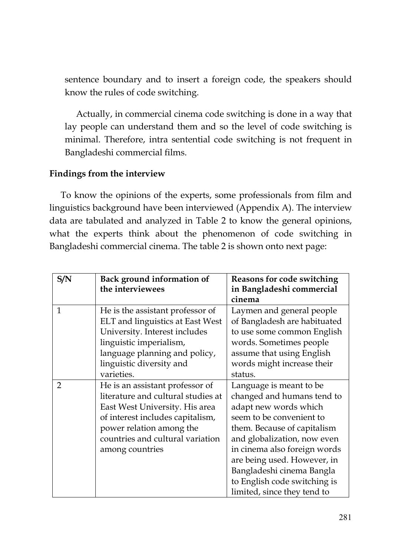sentence boundary and to insert a foreign code, the speakers should know the rules of code switching.

Actually, in commercial cinema code switching is done in a way that lay people can understand them and so the level of code switching is minimal. Therefore, intra sentential code switching is not frequent in Bangladeshi commercial films.

# **Findings from the interview**

To know the opinions of the experts, some professionals from film and linguistics background have been interviewed (Appendix A). The interview data are tabulated and analyzed in Table 2 to know the general opinions, what the experts think about the phenomenon of code switching in Bangladeshi commercial cinema. The table 2 is shown onto next page:

| S/N            | Back ground information of<br>the interviewees | <b>Reasons for code switching</b><br>in Bangladeshi commercial<br>cinema |
|----------------|------------------------------------------------|--------------------------------------------------------------------------|
| $\mathbf{1}$   | He is the assistant professor of               | Laymen and general people                                                |
|                | ELT and linguistics at East West               | of Bangladesh are habituated                                             |
|                | University. Interest includes                  | to use some common English                                               |
|                | linguistic imperialism,                        | words. Sometimes people                                                  |
|                | language planning and policy,                  | assume that using English                                                |
|                | linguistic diversity and                       | words might increase their                                               |
|                | varieties.                                     | status.                                                                  |
| $\overline{2}$ | He is an assistant professor of                | Language is meant to be                                                  |
|                | literature and cultural studies at             | changed and humans tend to                                               |
|                | East West University. His area                 | adapt new words which                                                    |
|                | of interest includes capitalism,               | seem to be convenient to                                                 |
|                | power relation among the                       | them. Because of capitalism                                              |
|                | countries and cultural variation               | and globalization, now even                                              |
|                | among countries                                | in cinema also foreign words                                             |
|                |                                                | are being used. However, in                                              |
|                |                                                | Bangladeshi cinema Bangla                                                |
|                |                                                | to English code switching is                                             |
|                |                                                | limited, since they tend to                                              |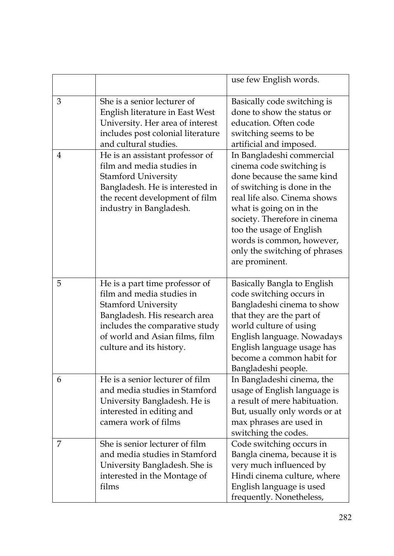|   |                                                                                                                                                                                                                            | use few English words.                                                                                                                                                                                                                                                                                                    |
|---|----------------------------------------------------------------------------------------------------------------------------------------------------------------------------------------------------------------------------|---------------------------------------------------------------------------------------------------------------------------------------------------------------------------------------------------------------------------------------------------------------------------------------------------------------------------|
| 3 | She is a senior lecturer of<br>English literature in East West<br>University. Her area of interest<br>includes post colonial literature<br>and cultural studies.                                                           | Basically code switching is<br>done to show the status or<br>education. Often code<br>switching seems to be<br>artificial and imposed.                                                                                                                                                                                    |
| 4 | He is an assistant professor of<br>film and media studies in<br><b>Stamford University</b><br>Bangladesh. He is interested in<br>the recent development of film<br>industry in Bangladesh.                                 | In Bangladeshi commercial<br>cinema code switching is<br>done because the same kind<br>of switching is done in the<br>real life also. Cinema shows<br>what is going on in the<br>society. Therefore in cinema<br>too the usage of English<br>words is common, however,<br>only the switching of phrases<br>are prominent. |
| 5 | He is a part time professor of<br>film and media studies in<br><b>Stamford University</b><br>Bangladesh. His research area<br>includes the comparative study<br>of world and Asian films, film<br>culture and its history. | Basically Bangla to English<br>code switching occurs in<br>Bangladeshi cinema to show<br>that they are the part of<br>world culture of using<br>English language. Nowadays<br>English language usage has<br>become a common habit for<br>Bangladeshi people.                                                              |
| 6 | He is a senior lecturer of film<br>and media studies in Stamford<br>University Bangladesh. He is<br>interested in editing and<br>camera work of films                                                                      | In Bangladeshi cinema, the<br>usage of English language is<br>a result of mere habituation.<br>But, usually only words or at<br>max phrases are used in<br>switching the codes.                                                                                                                                           |
| 7 | She is senior lecturer of film<br>and media studies in Stamford<br>University Bangladesh. She is<br>interested in the Montage of<br>films                                                                                  | Code switching occurs in<br>Bangla cinema, because it is<br>very much influenced by<br>Hindi cinema culture, where<br>English language is used<br>frequently. Nonetheless,                                                                                                                                                |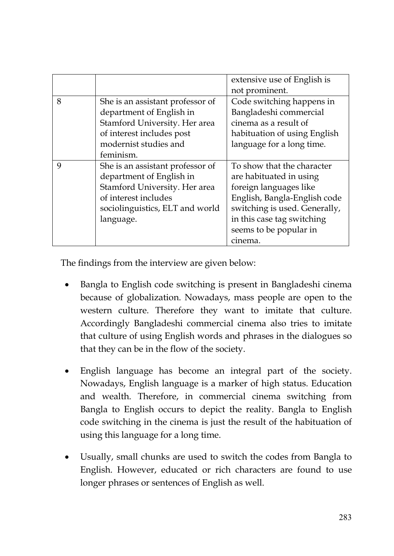|   |                                  | extensive use of English is   |
|---|----------------------------------|-------------------------------|
|   |                                  |                               |
|   |                                  | not prominent.                |
| 8 | She is an assistant professor of | Code switching happens in     |
|   | department of English in         | Bangladeshi commercial        |
|   | Stamford University. Her area    | cinema as a result of         |
|   | of interest includes post        | habituation of using English  |
|   | modernist studies and            | language for a long time.     |
|   | feminism.                        |                               |
| 9 | She is an assistant professor of | To show that the character    |
|   | department of English in         | are habituated in using       |
|   | Stamford University. Her area    | foreign languages like        |
|   | of interest includes             | English, Bangla-English code  |
|   | sociolinguistics, ELT and world  | switching is used. Generally, |
|   | language.                        | in this case tag switching    |
|   |                                  | seems to be popular in        |
|   |                                  | cinema.                       |

The findings from the interview are given below:

- Bangla to English code switching is present in Bangladeshi cinema because of globalization. Nowadays, mass people are open to the western culture. Therefore they want to imitate that culture. Accordingly Bangladeshi commercial cinema also tries to imitate that culture of using English words and phrases in the dialogues so that they can be in the flow of the society.
- English language has become an integral part of the society. Nowadays, English language is a marker of high status. Education and wealth. Therefore, in commercial cinema switching from Bangla to English occurs to depict the reality. Bangla to English code switching in the cinema is just the result of the habituation of using this language for a long time.
- Usually, small chunks are used to switch the codes from Bangla to English. However, educated or rich characters are found to use longer phrases or sentences of English as well.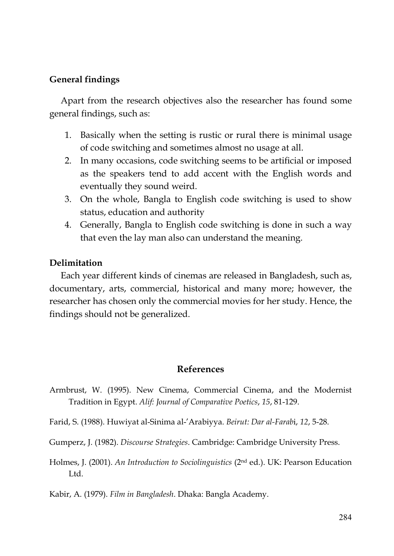# **General findings**

Apart from the research objectives also the researcher has found some general findings, such as:

- 1. Basically when the setting is rustic or rural there is minimal usage of code switching and sometimes almost no usage at all.
- 2. In many occasions, code switching seems to be artificial or imposed as the speakers tend to add accent with the English words and eventually they sound weird.
- 3. On the whole, Bangla to English code switching is used to show status, education and authority
- 4. Generally, Bangla to English code switching is done in such a way that even the lay man also can understand the meaning.

## **Delimitation**

Each year different kinds of cinemas are released in Bangladesh, such as, documentary, arts, commercial, historical and many more; however, the researcher has chosen only the commercial movies for her study. Hence, the findings should not be generalized.

### **References**

- Armbrust, W. (1995). New Cinema, Commercial Cinema, and the Modernist Tradition in Egypt. *Alif: Journal of Comparative Poetics*, *15*, 81-129.
- Farid, S. (1988). Huwiyat al-Sinima al-'Arabiyya. *Beirut: Dar al-Farab*i, *12*, 5-28.

Gumperz, J. (1982). *Discourse Strategies*. Cambridge: Cambridge University Press.

Holmes, J. (2001). *An Introduction to Sociolinguistics* (2nd ed.). UK: Pearson Education Ltd.

Kabir, A. (1979). *Film in Bangladesh*. Dhaka: Bangla Academy.